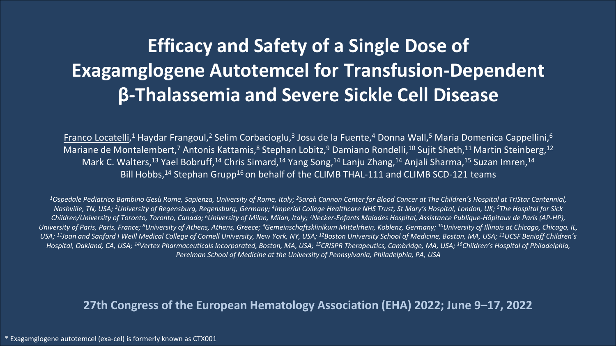# **Efficacy and Safety of a Single Dose of Exagamglogene Autotemcel for Transfusion-Dependent β-Thalassemia and Severe Sickle Cell Disease**

Franco Locatelli,<sup>1</sup> Haydar Frangoul,<sup>2</sup> Selim Corbacioglu,<sup>3</sup> Josu de la Fuente,<sup>4</sup> Donna Wall,<sup>5</sup> Maria Domenica Cappellini,<sup>6</sup> Mariane de Montalembert,<sup>7</sup> Antonis Kattamis,<sup>8</sup> Stephan Lobitz,<sup>9</sup> Damiano Rondelli,<sup>10</sup> Sujit Sheth,<sup>11</sup> Martin Steinberg,<sup>12</sup> Mark C. Walters,<sup>13</sup> Yael Bobruff,<sup>14</sup> Chris Simard,<sup>14</sup> Yang Song,<sup>14</sup> Lanju Zhang,<sup>14</sup> Anjali Sharma,<sup>15</sup> Suzan Imren,<sup>14</sup> Bill Hobbs,<sup>14</sup> Stephan Grupp<sup>16</sup> on behalf of the CLIMB THAL-111 and CLIMB SCD-121 teams

*1Ospedale Pediatrico Bambino Gesù Rome, Sapienza, University of Rome, Italy; 2Sarah Cannon Center for Blood Cancer at The Children's Hospital at TriStar Centennial, Nashville, TN, USA; 3University of Regensburg, Regensburg, Germany; 4Imperial College Healthcare NHS Trust, St Mary's Hospital, London, UK; 5The Hospital for Sick Children/University of Toronto, Toronto, Canada; 6University of Milan, Milan, Italy; 7Necker-Enfants Malades Hospital, Assistance Publique-Hôpitaux de Paris (AP-HP),*  University of Paris, Paris, France; <sup>8</sup>University of Athens, Athens, Greece; <sup>9</sup>Gemeinschaftsklinikum Mittelrhein, Koblenz, Germany; <sup>10</sup>University of Illinois at Chicago, Chicago, IL, USA; <sup>11</sup>Joan and Sanford I Weill Medical College of Cornell University, New York, NY, USA; <sup>12</sup>Boston University School of Medicine, Boston, MA, USA; <sup>13</sup>UCSF Benioff Children's *Hospital, Oakland, CA, USA; 14Vertex Pharmaceuticals Incorporated, Boston, MA, USA; 15CRISPR Therapeutics, Cambridge, MA, USA; 16Children's Hospital of Philadelphia, Perelman School of Medicine at the University of Pennsylvania, Philadelphia, PA, USA*

#### **27th Congress of the European Hematology Association (EHA) 2022; June 9–17, 2022**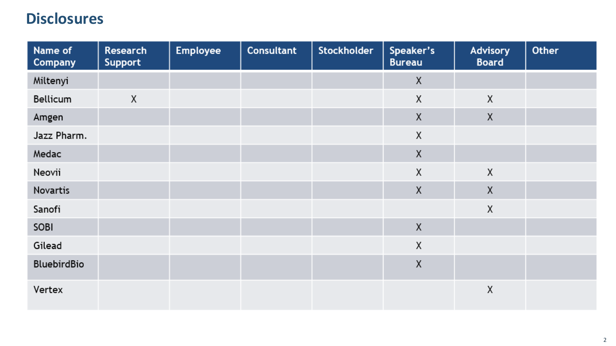### **Disclosures**

| Name of<br>Company | <b>Research</b><br><b>Support</b> | Employee | <b>Consultant</b> | <b>Stockholder</b> | Speaker's<br><b>Bureau</b> | <b>Advisory</b><br><b>Board</b> | Other |
|--------------------|-----------------------------------|----------|-------------------|--------------------|----------------------------|---------------------------------|-------|
| Miltenyi           |                                   |          |                   |                    | X                          |                                 |       |
| Bellicum           | X                                 |          |                   |                    | χ                          | X                               |       |
| Amgen              |                                   |          |                   |                    | X                          | X                               |       |
| Jazz Pharm.        |                                   |          |                   |                    | χ                          |                                 |       |
| Medac              |                                   |          |                   |                    | $\sf X$                    |                                 |       |
| Neovii             |                                   |          |                   |                    | χ                          | X                               |       |
| Novartis           |                                   |          |                   |                    | X                          | X                               |       |
| Sanofi             |                                   |          |                   |                    |                            | X                               |       |
| SOBI               |                                   |          |                   |                    | X                          |                                 |       |
| Gilead             |                                   |          |                   |                    | χ                          |                                 |       |
| BluebirdBio        |                                   |          |                   |                    | $\sf X$                    |                                 |       |
| Vertex             |                                   |          |                   |                    |                            | X                               |       |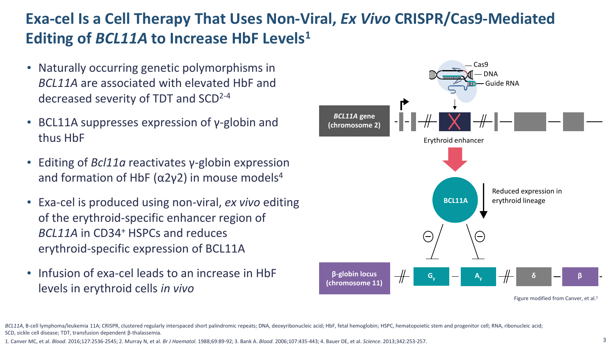## **Exa-cel Is a Cell Therapy That Uses Non-Viral,** *Ex Vivo* **CRISPR/Cas9-Mediated Editing of** *BCL11A* **to Increase HbF Levels1**

- Naturally occurring genetic polymorphisms in *BCL11A* are associated with elevated HbF and decreased severity of TDT and SCD2-4
- BCL11A suppresses expression of y-globin and thus HbF
- Editing of *Bcl11a* reactivates γ-globin expression and formation of HbF ( $\alpha$ 2y2) in mouse models<sup>4</sup>
- Exa-cel is produced using non-viral, *ex vivo* editing of the erythroid-specific enhancer region of *BCL11A* in CD34+ HSPCs and reduces erythroid-specific expression of BCL11A
- Infusion of exa-cel leads to an increase in HbF levels in erythroid cells *in vivo*



BCL11A, B-cell lymphoma/leukemia 11A; CRISPR, clustered regularly interspaced short palindromic repeats; DNA, deoxyribonucleic acid; HbF, fetal hemoglobin; HSPC, hematopoietic stem and progenitor cell; RNA, ribonucleic aci SCD, sickle cell disease; TDT, transfusion dependent β-thalassemia.

1. Canver MC, et al. *Blood*. 2016;127:2536-2545; 2. Murray N, et al. *Br J Haematol*. 1988;69:89-92; 3. Bank A. *Blood*. 2006;107:435-443; 4. Bauer DE, et al. *Science*. 2013;342:253-257.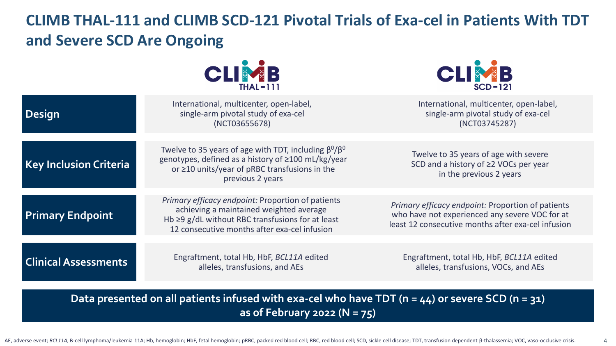## **CLIMB THAL-111 and CLIMB SCD-121 Pivotal Trials of Exa-cel in Patients With TDT and Severe SCD Are Ongoing**





| <b>Design</b>                 | International, multicenter, open-label,<br>single-arm pivotal study of exa-cel<br>(NCT03655678)                                                                                                        | International, multicenter, open-label,<br>single-arm pivotal study of exa-cel<br>(NCT03745287)                                                           |
|-------------------------------|--------------------------------------------------------------------------------------------------------------------------------------------------------------------------------------------------------|-----------------------------------------------------------------------------------------------------------------------------------------------------------|
|                               |                                                                                                                                                                                                        |                                                                                                                                                           |
| <b>Key Inclusion Criteria</b> | Twelve to 35 years of age with TDT, including $\beta^{0}/\beta^{0}$<br>genotypes, defined as a history of ≥100 mL/kg/year<br>or $\geq$ 10 units/year of pRBC transfusions in the<br>previous 2 years   | Twelve to 35 years of age with severe<br>SCD and a history of ≥2 VOCs per year<br>in the previous 2 years                                                 |
|                               |                                                                                                                                                                                                        |                                                                                                                                                           |
| <b>Primary Endpoint</b>       | Primary efficacy endpoint: Proportion of patients<br>achieving a maintained weighted average<br>Hb $\geq$ 9 g/dL without RBC transfusions for at least<br>12 consecutive months after exa-cel infusion | Primary efficacy endpoint: Proportion of patients<br>who have not experienced any severe VOC for at<br>least 12 consecutive months after exa-cel infusion |
|                               |                                                                                                                                                                                                        |                                                                                                                                                           |
| <b>Clinical Assessments</b>   | Engraftment, total Hb, HbF, BCL11A edited<br>alleles, transfusions, and AEs                                                                                                                            | Engraftment, total Hb, HbF, BCL11A edited<br>alleles, transfusions, VOCs, and AEs                                                                         |

**Data presented on all patients infused with exa-cel who have TDT (n = 44) or severe SCD (n = 31) as of February 2022 (N = 75)**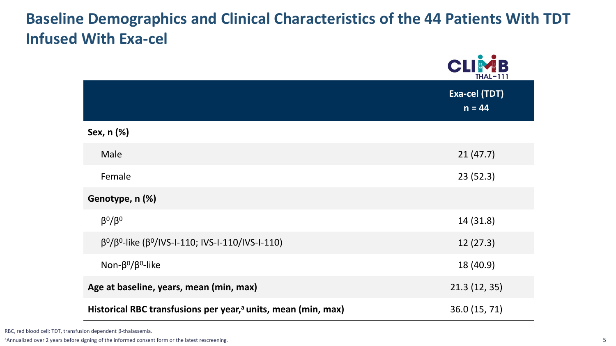## **Baseline Demographics and Clinical Characteristics of the 44 Patients With TDT Infused With Exa-cel**

|                                                                           | CLIMB<br><b>THAL-111</b>  |
|---------------------------------------------------------------------------|---------------------------|
|                                                                           | Exa-cel (TDT)<br>$n = 44$ |
| Sex, n (%)                                                                |                           |
| Male                                                                      | 21(47.7)                  |
| Female                                                                    | 23(52.3)                  |
| Genotype, n (%)                                                           |                           |
| $\beta^0/\beta^0$                                                         | 14 (31.8)                 |
| $β0/β0$ -like (β <sup>0</sup> /IVS-I-110; IVS-I-110/IVS-I-110)            | 12(27.3)                  |
| Non- $\beta^0/\beta^0$ -like                                              | 18 (40.9)                 |
| Age at baseline, years, mean (min, max)                                   | 21.3(12, 35)              |
| Historical RBC transfusions per year, <sup>a</sup> units, mean (min, max) | 36.0 (15, 71)             |

RBC, red blood cell; TDT, transfusion dependent β-thalassemia.

<sup>a</sup>Annualized over 2 years before signing of the informed consent form or the latest rescreening.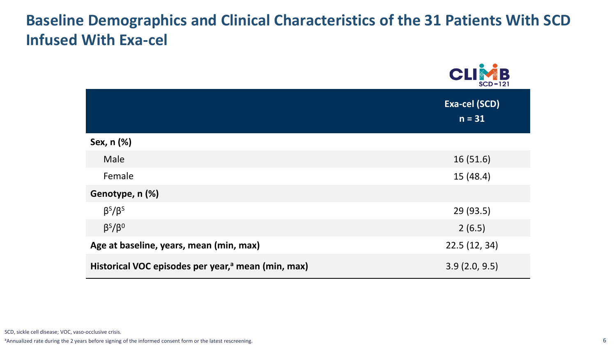## **Baseline Demographics and Clinical Characteristics of the 31 Patients With SCD Infused With Exa-cel**

|                                                                | <b>CLIMB</b><br>$SCD-121$        |
|----------------------------------------------------------------|----------------------------------|
|                                                                | <b>Exa-cel (SCD)</b><br>$n = 31$ |
| Sex, n (%)                                                     |                                  |
| Male                                                           | 16(51.6)                         |
| Female                                                         | 15(48.4)                         |
| Genotype, n (%)                                                |                                  |
| $\beta^s/\beta^s$                                              | 29 (93.5)                        |
| $\beta^5/\beta^0$                                              | 2(6.5)                           |
| Age at baseline, years, mean (min, max)                        | 22.5(12, 34)                     |
| Historical VOC episodes per year, <sup>a</sup> mean (min, max) | 3.9(2.0, 9.5)                    |

SCD, sickle cell disease; VOC, vaso-occlusive crisis.

aAnnualized rate during the 2 years before signing of the informed consent form or the latest rescreening.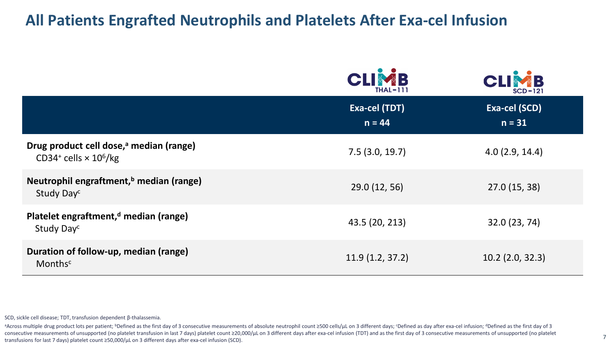#### **All Patients Engrafted Neutrophils and Platelets After Exa-cel Infusion**

|                                                                                                             | CLIMB<br>$THAL-111$       | CLIMB<br>$SCD-121$        |
|-------------------------------------------------------------------------------------------------------------|---------------------------|---------------------------|
|                                                                                                             | Exa-cel (TDT)<br>$n = 44$ | Exa-cel (SCD)<br>$n = 31$ |
| Drug product cell dose, <sup>a</sup> median (range)<br>CD34 <sup>+</sup> cells $\times$ 10 <sup>6</sup> /kg | 7.5(3.0, 19.7)            | 4.0(2.9, 14.4)            |
| Neutrophil engraftment, <sup>b</sup> median (range)<br>Study Day <sup>c</sup>                               | 29.0 (12, 56)             | 27.0 (15, 38)             |
| Platelet engraftment, <sup>d</sup> median (range)<br>Study Day <sup>c</sup>                                 | 43.5 (20, 213)            | 32.0 (23, 74)             |
| Duration of follow-up, median (range)<br>Monthsc                                                            | 11.9(1.2, 37.2)           | $10.2$ (2.0, 32.3)        |

SCD, sickle cell disease; TDT, transfusion dependent β-thalassemia.

across multiple drug product lots per patient; <sup>b</sup>Defined as the first day of 3 consecutive measurements of absolute neutrophil count ≥500 cells/µL on 3 different days; eDefined as day after exa-cel infusion; dDefined as consecutive measurements of unsupported (no platelet transfusion in last 7 days) platelet count ≥20,000/µL on 3 different days after exa-cel infusion (TDT) and as the first day of 3 consecutive measurements of unsupported transfusions for last 7 days) platelet count ≥50,000/µL on 3 different days after exa-cel infusion (SCD).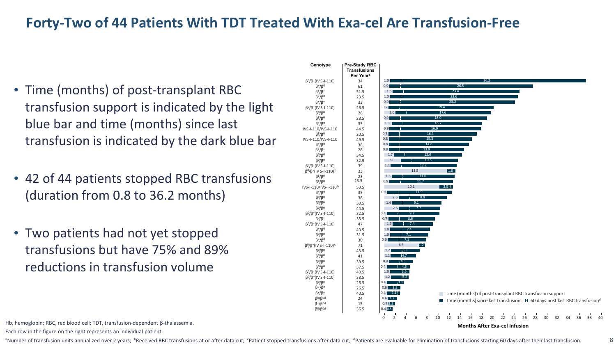#### **Forty-Two of 44 Patients With TDT Treated With Exa-cel Are Transfusion-Free**

- Time (months) of post-transplant RBC transfusion support is indicated by the light blue bar and time (months) since last transfusion is indicated by the dark blue bar
- 42 of 44 patients stopped RBC transfusions (duration from 0.8 to 36.2 months)
- Two patients had not yet stopped transfusions but have 75% and 89% reductions in transfusion volume



Hb, hemoglobin; RBC, red blood cell; TDT, transfusion-dependent β-thalassemia.

Each row in the figure on the right represents an individual patient.

<sup>a</sup>Number of transfusion units annualized over 2 years; <sup>b</sup>Received RBC transfusions at or after data cut; <sup>c</sup>Patient stopped transfusions after data cut; <sup>d</sup>Patients are evaluable for elimination of transfusions starting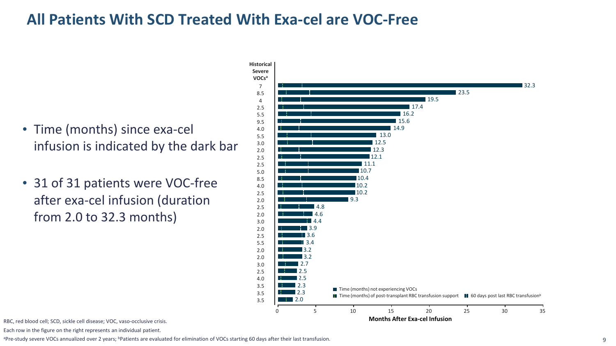## **All Patients With SCD Treated With Exa-cel are VOC-Free**

- Time (months) since exa-cel infusion is indicated by the dark bar
- 31 of 31 patients were VOC-free after exa-cel infusion (duration from 2.0 to 32.3 months)



RBC, red blood cell; SCD, sickle cell disease; VOC, vaso-occlusive crisis.

Each row in the figure on the right represents an individual patient.

aPre-study severe VOCs annualized over 2 years; bPatients are evaluated for elimination of VOCs starting 60 days after their last transfusion.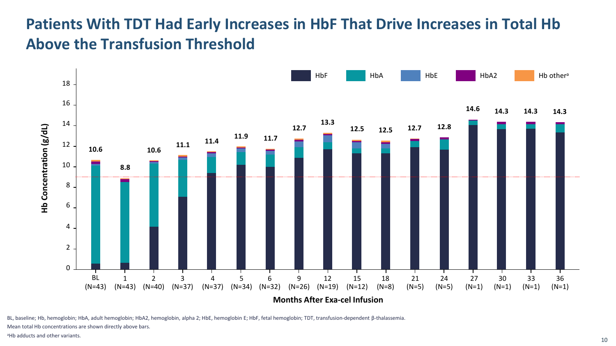## **Patients With TDT Had Early Increases in HbF That Drive Increases in Total Hb Above the Transfusion Threshold**



BL, baseline; Hb, hemoglobin; HbA, adult hemoglobin; HbA2, hemoglobin, alpha 2; HbE, hemoglobin E; HbF, fetal hemoglobin; TDT, transfusion-dependent β-thalassemia.

Mean total Hb concentrations are shown directly above bars.

aHb adducts and other variants.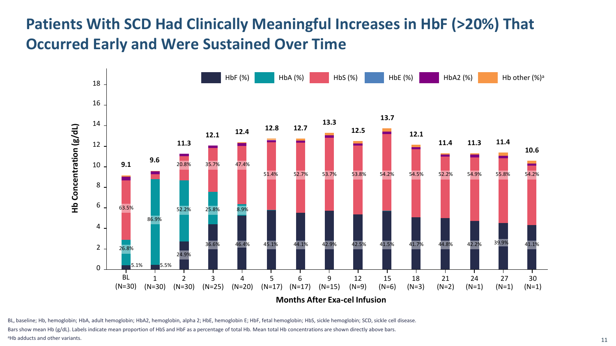## **Patients With SCD Had Clinically Meaningful Increases in HbF (>20%) That Occurred Early and Were Sustained Over Time**



BL, baseline; Hb, hemoglobin; HbA, adult hemoglobin; HbA2, hemoglobin, alpha 2; HbE, hemoglobin E; HbF, fetal hemoglobin; HbS, sickle hemoglobin; SCD, sickle cell disease. Bars show mean Hb (g/dL). Labels indicate mean proportion of HbS and HbF as a percentage of total Hb. Mean total Hb concentrations are shown directly above bars. aHb adducts and other variants.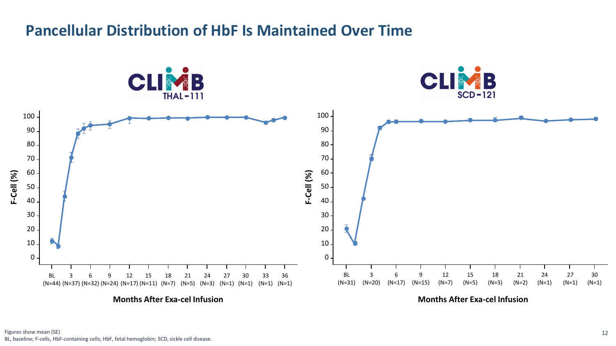## **Pancellular Distribution of HbF Is Maintained Over Time**



**Months After Exa-cel Infusion**

**Months After Exa-cel Infusion**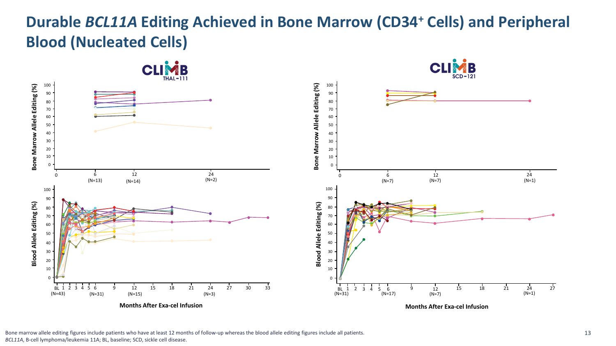## **Durable** *BCL11A* **Editing Achieved in Bone Marrow (CD34+ Cells) and Peripheral Blood (Nucleated Cells)**



Bone marrow allele editing figures include patients who have at least 12 months of follow-up whereas the blood allele editing figures include all patients.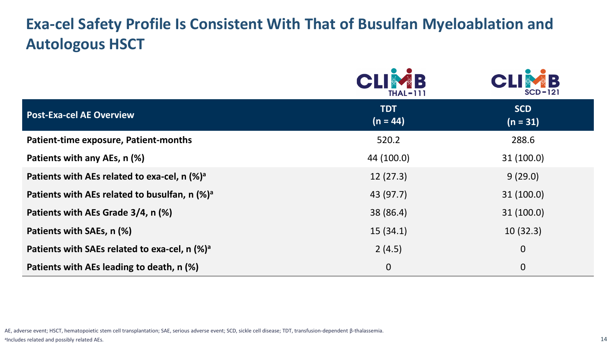## **Exa-cel Safety Profile Is Consistent With That of Busulfan Myeloablation and Autologous HSCT**

|                                                             | <b>THAL-111</b>          | $\bullet$<br>$SCD-121$   |
|-------------------------------------------------------------|--------------------------|--------------------------|
| <b>Post-Exa-cel AE Overview</b>                             | <b>TDT</b><br>$(n = 44)$ | <b>SCD</b><br>$(n = 31)$ |
| Patient-time exposure, Patient-months                       | 520.2                    | 288.6                    |
| Patients with any AEs, n (%)                                | 44 (100.0)               | 31(100.0)                |
| Patients with AEs related to exa-cel, $n$ (%) <sup>a</sup>  | 12(27.3)                 | 9(29.0)                  |
| Patients with AEs related to busulfan, $n$ (%) <sup>a</sup> | 43 (97.7)                | 31(100.0)                |
| Patients with AEs Grade 3/4, n (%)                          | 38 (86.4)                | 31(100.0)                |
| Patients with SAEs, n (%)                                   | 15(34.1)                 | 10(32.3)                 |
| Patients with SAEs related to exa-cel, n (%) <sup>a</sup>   | 2(4.5)                   | $\mathbf 0$              |
| Patients with AEs leading to death, n (%)                   | $\mathbf{0}$             | $\mathbf 0$              |

AE, adverse event; HSCT, hematopoietic stem cell transplantation; SAE, serious adverse event; SCD, sickle cell disease; TDT, transfusion-dependent β-thalassemia. aIncludes related and possibly related AEs.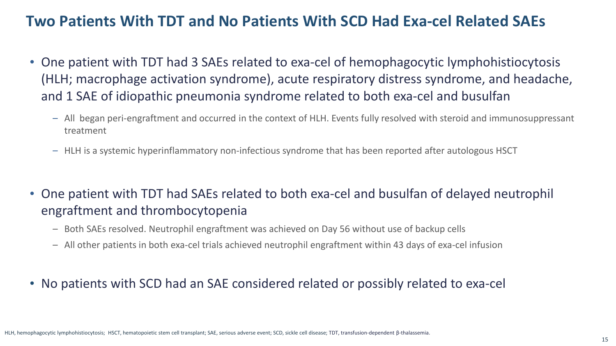#### **Two Patients With TDT and No Patients With SCD Had Exa-cel Related SAEs**

- One patient with TDT had 3 SAEs related to exa-cel of hemophagocytic lymphohistiocytosis (HLH; macrophage activation syndrome), acute respiratory distress syndrome, and headache, and 1 SAE of idiopathic pneumonia syndrome related to both exa-cel and busulfan
	- All began peri-engraftment and occurred in the context of HLH. Events fully resolved with steroid and immunosuppressant treatment
	- HLH is a systemic hyperinflammatory non-infectious syndrome that has been reported after autologous HSCT
- One patient with TDT had SAEs related to both exa-cel and busulfan of delayed neutrophil engraftment and thrombocytopenia
	- Both SAEs resolved. Neutrophil engraftment was achieved on Day 56 without use of backup cells
	- All other patients in both exa-cel trials achieved neutrophil engraftment within 43 days of exa-cel infusion
- No patients with SCD had an SAE considered related or possibly related to exa-cel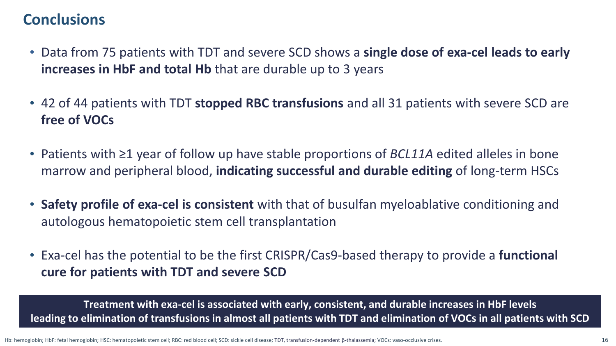### **Conclusions**

- Data from 75 patients with TDT and severe SCD shows a **single dose of exa-cel leads to early increases in HbF and total Hb** that are durable up to 3 years
- 42 of 44 patients with TDT **stopped RBC transfusions** and all 31 patients with severe SCD are **free of VOCs**
- Patients with ≥1 year of follow up have stable proportions of *BCL11A* edited alleles in bone marrow and peripheral blood, **indicating successful and durable editing** of long-term HSCs
- **Safety profile of exa-cel is consistent** with that of busulfan myeloablative conditioning and autologous hematopoietic stem cell transplantation
- Exa-cel has the potential to be the first CRISPR/Cas9-based therapy to provide a **functional cure for patients with TDT and severe SCD**

**Treatment with exa-cel is associated with early, consistent, and durable increases in HbF levels leading to elimination of transfusions in almost all patients with TDT and elimination of VOCs in all patients with SCD**